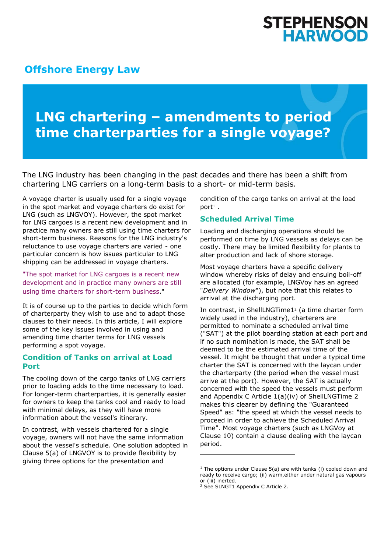## **STEPHENSON HARWOOD**

### **[Offshore Energy Law](http://www.offshoreenergylaw.com/)**

# **LNG chartering – amendments to period time charterparties for a single voyage?**

The LNG industry has been changing in the past decades and there has been a shift from chartering LNG carriers on a long-term basis to a short- or mid-term basis.

A voyage charter is usually used for a single voyage in the spot market and voyage charters do exist for LNG (such as LNGVOY). However, the spot market for LNG cargoes is a recent new development and in practice many owners are still using time charters for short-term business. Reasons for the LNG industry's reluctance to use voyage charters are varied - one particular concern is how issues particular to LNG shipping can be addressed in voyage charters.

"The spot market for LNG cargoes is a recent new development and in practice many owners are still using time charters for short-term business."

It is of course up to the parties to decide which form of charterparty they wish to use and to adapt those clauses to their needs. In this article, I will explore some of the key issues involved in using and amending time charter terms for LNG vessels performing a spot voyage.

#### **Condition of Tanks on arrival at Load Port**

The cooling down of the cargo tanks of LNG carriers prior to loading adds to the time necessary to load. For longer-term charterparties, it is generally easier for owners to keep the tanks cool and ready to load with minimal delays, as they will have more information about the vessel's itinerary.

In contrast, with vessels chartered for a single voyage, owners will not have the same information about the vessel's schedule. One solution adopted in Clause 5(a) of LNGVOY is to provide flexibility by giving three options for the presentation and

condition of the cargo tanks on arrival at the load port<sup>1</sup> .

#### **Scheduled Arrival Time**

Loading and discharging operations should be performed on time by LNG vessels as delays can be costly. There may be limited flexibility for plants to alter production and lack of shore storage.

Most voyage charters have a specific delivery window whereby risks of delay and ensuing boil-off are allocated (for example, LNGVoy has an agreed "*Delivery Window*"), but note that this relates to arrival at the discharging port.

In contrast, in ShellLNGTime1<sup>2</sup> (a time charter form widely used in the industry), charterers are permitted to nominate a scheduled arrival time ("SAT") at the pilot boarding station at each port and if no such nomination is made, the SAT shall be deemed to be the estimated arrival time of the vessel. It might be thought that under a typical time charter the SAT is concerned with the laycan under the charterparty (the period when the vessel must arrive at the port). However, the SAT is actually concerned with the speed the vessels must perform and Appendix C Article 1(a)(iv) of ShellLNGTime 2 makes this clearer by defining the "Guaranteed Speed" as: "the speed at which the vessel needs to proceed in order to achieve the Scheduled Arrival Time". Most voyage charters (such as LNGVoy at Clause 10) contain a clause dealing with the laycan period.

<sup>&</sup>lt;sup>1</sup> The options under Clause  $5(a)$  are with tanks (i) cooled down and ready to receive cargo; (ii) warm,either under natural gas vapours or (iii) inerted.

<sup>2</sup> See SLNGT1 Appendix C Article 2.